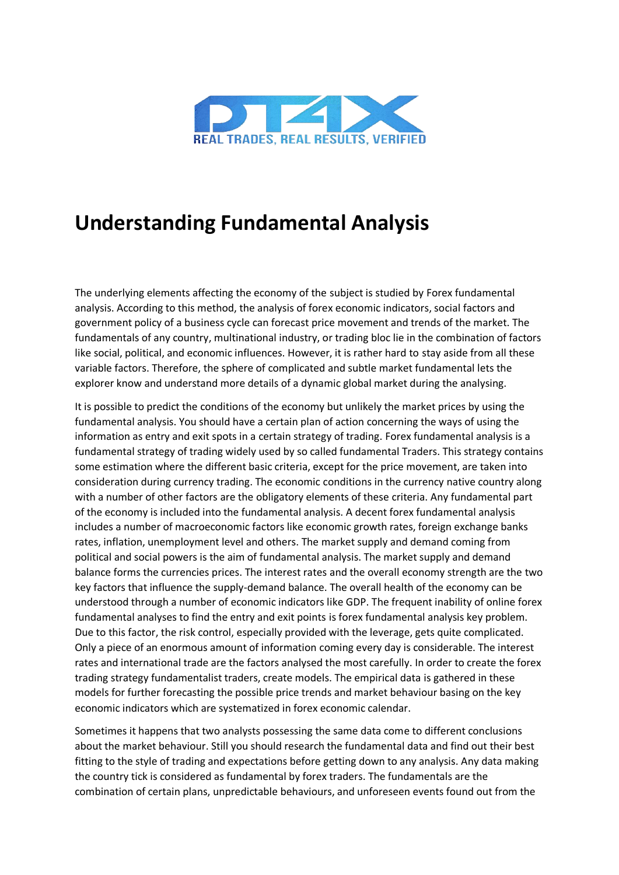

# **Understanding Fundamental Analysis**

The underlying elements affecting the economy of the subject is studied by Forex fundamental analysis. According to this method, the analysis of forex economic indicators, social factors and government policy of a business cycle can forecast price movement and trends of the market. The fundamentals of any country, multinational industry, or trading bloc lie in the combination of factors like social, political, and economic influences. However, it is rather hard to stay aside from all these variable factors. Therefore, the sphere of complicated and subtle market fundamental lets the explorer know and understand more details of a dynamic global market during the analysing.

It is possible to predict the conditions of the economy but unlikely the market prices by using the fundamental analysis. You should have a certain plan of action concerning the ways of using the information as entry and exit spots in a certain strategy of trading. Forex fundamental analysis is a fundamental strategy of trading widely used by so called fundamental Traders. This strategy contains some estimation where the different basic criteria, except for the price movement, are taken into consideration during currency trading. The economic conditions in the currency native country along with a number of other factors are the obligatory elements of these criteria. Any fundamental part of the economy is included into the fundamental analysis. A decent forex fundamental analysis includes a number of macroeconomic factors like economic growth rates, foreign exchange banks rates, inflation, unemployment level and others. The market supply and demand coming from political and social powers is the aim of fundamental analysis. The market supply and demand balance forms the currencies prices. The interest rates and the overall economy strength are the two key factors that influence the supply-demand balance. The overall health of the economy can be understood through a number of economic indicators like GDP. The frequent inability of online forex fundamental analyses to find the entry and exit points is forex fundamental analysis key problem. Due to this factor, the risk control, especially provided with the leverage, gets quite complicated. Only a piece of an enormous amount of information coming every day is considerable. The interest rates and international trade are the factors analysed the most carefully. In order to create the forex trading strategy fundamentalist traders, create models. The empirical data is gathered in these models for further forecasting the possible price trends and market behaviour basing on the key economic indicators which are systematized in forex economic calendar.

Sometimes it happens that two analysts possessing the same data come to different conclusions about the market behaviour. Still you should research the fundamental data and find out their best fitting to the style of trading and expectations before getting down to any analysis. Any data making the country tick is considered as fundamental by forex traders. The fundamentals are the combination of certain plans, unpredictable behaviours, and unforeseen events found out from the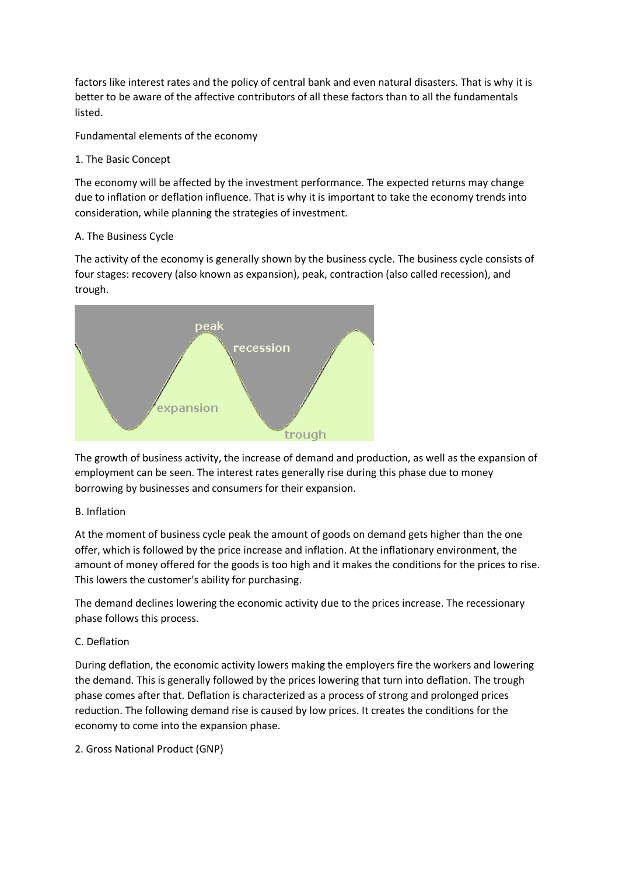factors like interest rates and the policy of central bank and even natural disasters. That is why it is better to be aware of the affective contributors of all these factors than to all the fundamentals listed.

Fundamental elements of the economy

## 1. The Basic Concept

The economy will be affected by the investment performance. The expected returns may change due to inflation or deflation influence. That is why it is important to take the economy trends into consideration, while planning the strategies of investment.

## A. The Business Cycle

The activity of the economy is generally shown by the business cycle. The business cycle consists of four stages: recovery (also known as expansion), peak, contraction (also called recession), and trough.



The growth of business activity, the increase of demand and production, as well as the expansion of employment can be seen. The interest rates generally rise during this phase due to money borrowing by businesses and consumers for their expansion.

# B. Inflation

At the moment of business cycle peak the amount of goods on demand gets higher than the one offer, which is followed by the price increase and inflation. At the inflationary environment, the amount of money offered for the goods is too high and it makes the conditions for the prices to rise. This lowers the customer's ability for purchasing.

The demand declines lowering the economic activity due to the prices increase. The recessionary phase follows this process.

# C. Deflation

During deflation, the economic activity lowers making the employers fire the workers and lowering the demand. This is generally followed by the prices lowering that turn into deflation. The trough phase comes after that. Deflation is characterized as a process of strong and prolonged prices reduction. The following demand rise is caused by low prices. It creates the conditions for the economy to come into the expansion phase.

2. Gross National Product (GNP)